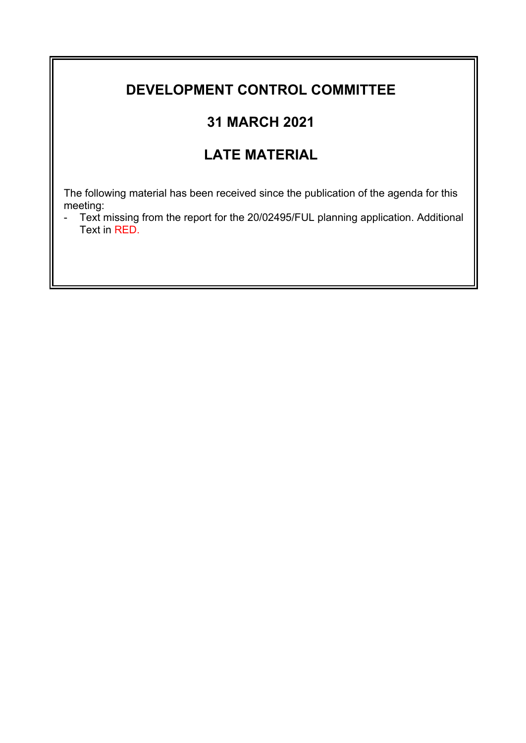## **DEVELOPMENT CONTROL COMMITTEE**

# **31 MARCH 2021**

# **LATE MATERIAL**

The following material has been received since the publication of the agenda for this meeting:

- Text missing from the report for the 20/02495/FUL planning application. Additional Text in RED.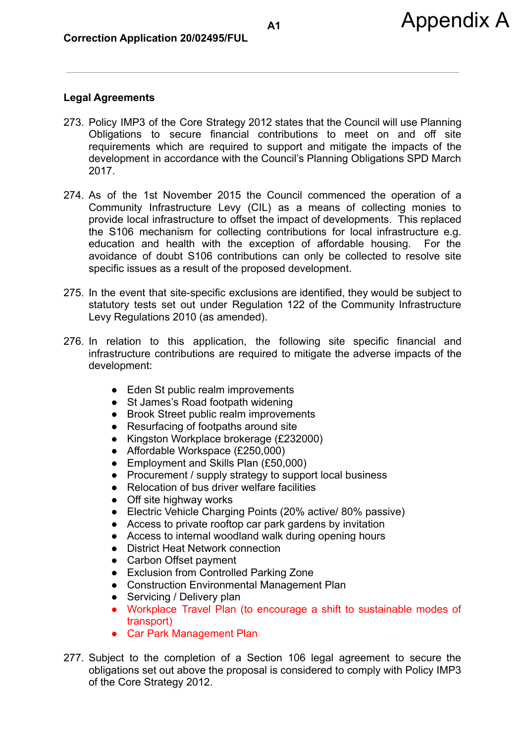## **Legal Agreements**

- 273. Policy IMP3 of the Core Strategy 2012 states that the Council will use Planning Obligations to secure financial contributions to meet on and off site requirements which are required to support and mitigate the impacts of the development in accordance with the Council's Planning Obligations SPD March 2017.
- 274. As of the 1st November 2015 the Council commenced the operation of a Community Infrastructure Levy (CIL) as a means of collecting monies to provide local infrastructure to offset the impact of developments. This replaced the S106 mechanism for collecting contributions for local infrastructure e.g. education and health with the exception of affordable housing. For the avoidance of doubt S106 contributions can only be collected to resolve site specific issues as a result of the proposed development.
- 275. In the event that site-specific exclusions are identified, they would be subject to statutory tests set out under Regulation 122 of the Community Infrastructure Levy Regulations 2010 (as amended).
- 276. In relation to this application, the following site specific financial and infrastructure contributions are required to mitigate the adverse impacts of the development:
	- Eden St public realm improvements
	- St James's Road footpath widening
	- Brook Street public realm improvements
	- Resurfacing of footpaths around site
	- Kingston Workplace brokerage (£232000)
	- Affordable Workspace (£250,000)
	- Employment and Skills Plan (£50,000)
	- Procurement / supply strategy to support local business
	- Relocation of bus driver welfare facilities
	- Off site highway works
	- Electric Vehicle Charging Points (20% active/ 80% passive)
	- Access to private rooftop car park gardens by invitation
	- Access to internal woodland walk during opening hours
	- District Heat Network connection
	- Carbon Offset payment
	- Exclusion from Controlled Parking Zone
	- Construction Environmental Management Plan
	- Servicing / Delivery plan
	- Workplace Travel Plan (to encourage a shift to sustainable modes of transport)
	- Car Park Management Plan
- 277. Subject to the completion of a Section 106 legal agreement to secure the obligations set out above the proposal is considered to comply with Policy IMP3 of the Core Strategy 2012.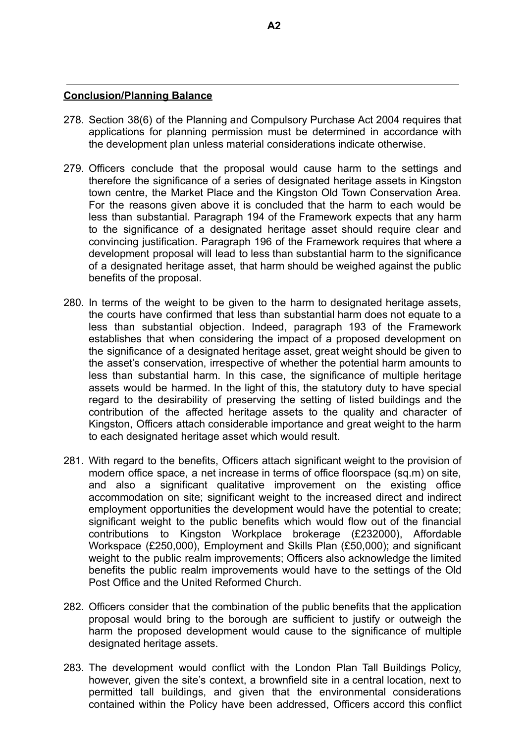#### **Conclusion/Planning Balance**

- 278. Section 38(6) of the Planning and Compulsory Purchase Act 2004 requires that applications for planning permission must be determined in accordance with the development plan unless material considerations indicate otherwise.
- 279. Officers conclude that the proposal would cause harm to the settings and therefore the significance of a series of designated heritage assets in Kingston town centre, the Market Place and the Kingston Old Town Conservation Area. For the reasons given above it is concluded that the harm to each would be less than substantial. Paragraph 194 of the Framework expects that any harm to the significance of a designated heritage asset should require clear and convincing justification. Paragraph 196 of the Framework requires that where a development proposal will lead to less than substantial harm to the significance of a designated heritage asset, that harm should be weighed against the public benefits of the proposal.
- 280. In terms of the weight to be given to the harm to designated heritage assets, the courts have confirmed that less than substantial harm does not equate to a less than substantial objection. Indeed, paragraph 193 of the Framework establishes that when considering the impact of a proposed development on the significance of a designated heritage asset, great weight should be given to the asset's conservation, irrespective of whether the potential harm amounts to less than substantial harm. In this case, the significance of multiple heritage assets would be harmed. In the light of this, the statutory duty to have special regard to the desirability of preserving the setting of listed buildings and the contribution of the affected heritage assets to the quality and character of Kingston, Officers attach considerable importance and great weight to the harm to each designated heritage asset which would result.
- 281. With regard to the benefits, Officers attach significant weight to the provision of modern office space, a net increase in terms of office floorspace (sq.m) on site, and also a significant qualitative improvement on the existing office accommodation on site; significant weight to the increased direct and indirect employment opportunities the development would have the potential to create; significant weight to the public benefits which would flow out of the financial contributions to Kingston Workplace brokerage (£232000), Affordable Workspace (£250,000), Employment and Skills Plan (£50,000); and significant weight to the public realm improvements; Officers also acknowledge the limited benefits the public realm improvements would have to the settings of the Old Post Office and the United Reformed Church.
- 282. Officers consider that the combination of the public benefits that the application proposal would bring to the borough are sufficient to justify or outweigh the harm the proposed development would cause to the significance of multiple designated heritage assets.
- 283. The development would conflict with the London Plan Tall Buildings Policy, however, given the site's context, a brownfield site in a central location, next to permitted tall buildings, and given that the environmental considerations contained within the Policy have been addressed, Officers accord this conflict